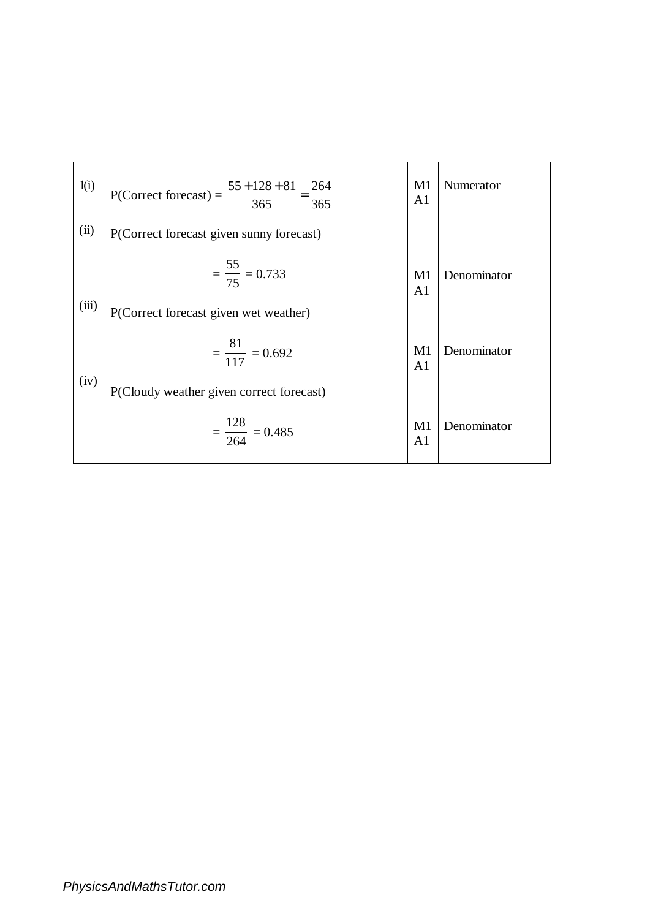| 1(i)  | P(Correct forecast) = $\frac{55 + 128 + 81}{365}$ = $\frac{264}{365}$ | M1<br>A <sub>1</sub> | Numerator   |
|-------|-----------------------------------------------------------------------|----------------------|-------------|
| (ii)  | P(Correct forecast given sunny forecast)                              |                      |             |
|       | $=\frac{55}{75}=0.733$                                                | M1<br>A <sub>1</sub> | Denominator |
| (iii) | P(Correct forecast given wet weather)                                 |                      |             |
|       | $=\frac{81}{117}=0.692$                                               | M1<br>A <sub>1</sub> | Denominator |
| (iv)  | P(Cloudy weather given correct forecast)                              |                      |             |
|       | $=\frac{128}{264}=0.485$                                              | M1<br>A <sub>1</sub> | Denominator |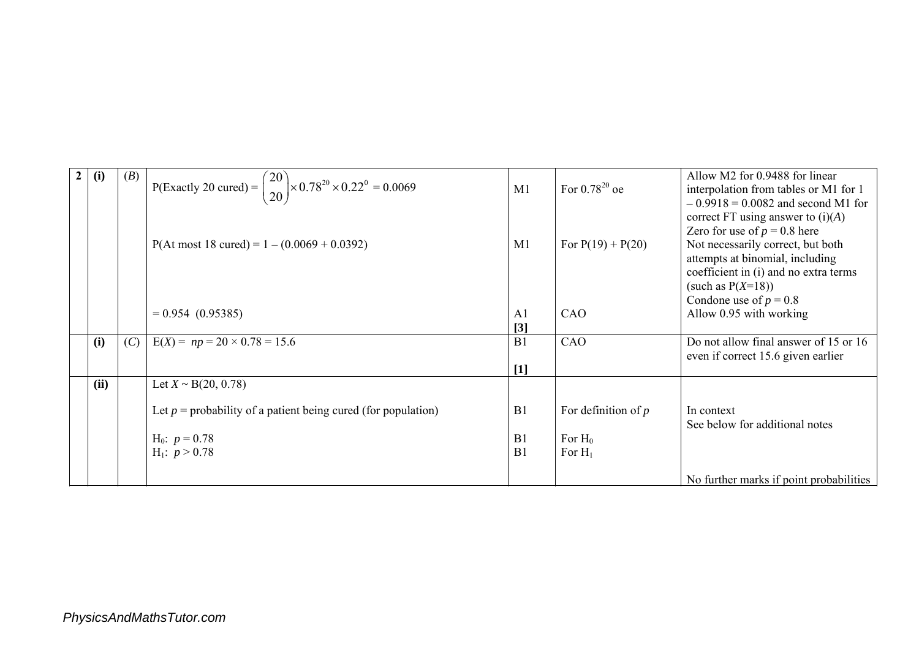| $\mathbf{2}$ | (i)  | (B) | P(Exactly 20 cured) = $\binom{20}{20}$ × 0.78 <sup>20</sup> × 0.22 <sup>0</sup> = 0.0069 |                |                       | Allow M2 for 0.9488 for linear          |
|--------------|------|-----|------------------------------------------------------------------------------------------|----------------|-----------------------|-----------------------------------------|
|              |      |     |                                                                                          | M1             | For $0.78^{20}$ oe    | interpolation from tables or M1 for 1   |
|              |      |     |                                                                                          |                |                       | $-0.9918 = 0.0082$ and second M1 for    |
|              |      |     |                                                                                          |                |                       | correct FT using answer to $(i)(A)$     |
|              |      |     |                                                                                          |                |                       | Zero for use of $p = 0.8$ here          |
|              |      |     | $P($ At most 18 cured $) = 1 - (0.0069 + 0.0392)$                                        | M1             | For $P(19) + P(20)$   | Not necessarily correct, but both       |
|              |      |     |                                                                                          |                |                       | attempts at binomial, including         |
|              |      |     |                                                                                          |                |                       | coefficient in (i) and no extra terms   |
|              |      |     |                                                                                          |                |                       | (such as $P(X=18)$ )                    |
|              |      |     |                                                                                          |                |                       | Condone use of $p = 0.8$                |
|              |      |     | $= 0.954 (0.95385)$                                                                      | A <sub>1</sub> | CAO                   | Allow 0.95 with working                 |
|              |      |     |                                                                                          | $[3]$          |                       |                                         |
|              | (i)  | (C) | $E(X) = np = 20 \times 0.78 = 15.6$                                                      | B1             | CAO                   | Do not allow final answer of 15 or 16   |
|              |      |     |                                                                                          |                |                       | even if correct 15.6 given earlier      |
|              |      |     |                                                                                          | $[1]$          |                       |                                         |
|              | (ii) |     | Let $X \sim B(20, 0.78)$                                                                 |                |                       |                                         |
|              |      |     |                                                                                          |                |                       |                                         |
|              |      |     | Let $p =$ probability of a patient being cured (for population)                          | B <sub>1</sub> | For definition of $p$ | In context                              |
|              |      |     |                                                                                          |                |                       | See below for additional notes          |
|              |      |     | $H_0$ : $p = 0.78$                                                                       | B1             | For $H_0$             |                                         |
|              |      |     | $H_1$ : $p > 0.78$                                                                       | B <sub>1</sub> | For $H_1$             |                                         |
|              |      |     |                                                                                          |                |                       |                                         |
|              |      |     |                                                                                          |                |                       | No further marks if point probabilities |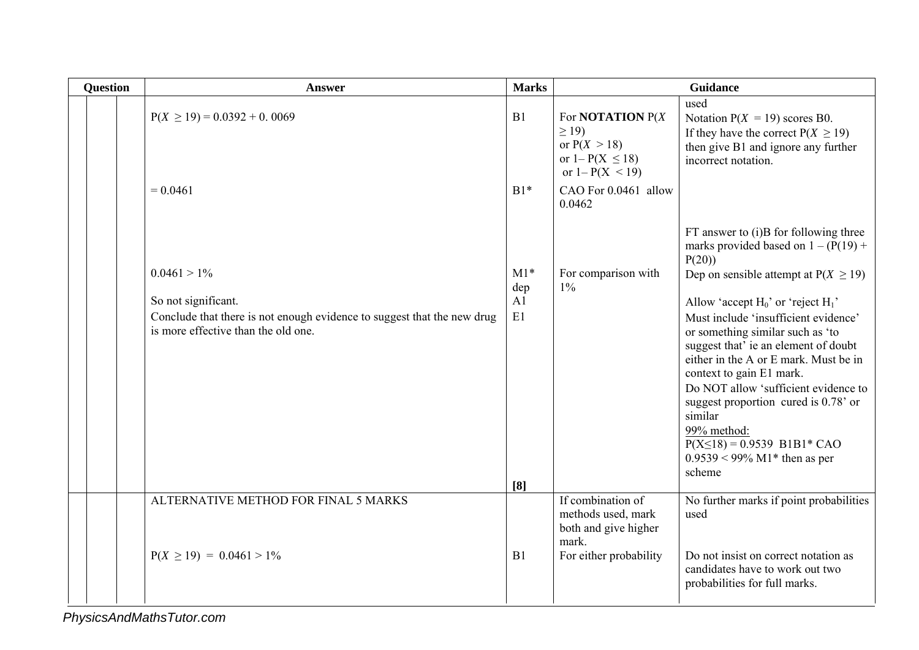| <b>Question</b> | <b>Answer</b>                                                                                                  | <b>Marks</b> |                                                                                                          | Guidance                                                                                                                                                                                                                                                                                                                                                                                 |
|-----------------|----------------------------------------------------------------------------------------------------------------|--------------|----------------------------------------------------------------------------------------------------------|------------------------------------------------------------------------------------------------------------------------------------------------------------------------------------------------------------------------------------------------------------------------------------------------------------------------------------------------------------------------------------------|
|                 | $P(X \ge 19) = 0.0392 + 0.0069$                                                                                | B1           | For <b>NOTATION</b> $P(X)$<br>$\geq$ 19)<br>or $P(X > 18)$<br>or $1 - P(X \le 18)$<br>or $1 - P(X < 19)$ | used<br>Notation $P(X = 19)$ scores B0.<br>If they have the correct $P(X \ge 19)$<br>then give B1 and ignore any further<br>incorrect notation.                                                                                                                                                                                                                                          |
|                 | $= 0.0461$                                                                                                     | $B1*$        | CAO For 0.0461 allow<br>0.0462                                                                           |                                                                                                                                                                                                                                                                                                                                                                                          |
|                 |                                                                                                                |              |                                                                                                          | FT answer to (i)B for following three<br>marks provided based on $1 - (P(19) +$<br>P(20)                                                                                                                                                                                                                                                                                                 |
|                 | $0.0461 > 1\%$                                                                                                 | $M1*$<br>dep | For comparison with<br>$1\%$                                                                             | Dep on sensible attempt at $P(X \ge 19)$                                                                                                                                                                                                                                                                                                                                                 |
|                 | So not significant.                                                                                            | A1           |                                                                                                          | Allow 'accept $H_0$ ' or 'reject $H_1$ '                                                                                                                                                                                                                                                                                                                                                 |
|                 | Conclude that there is not enough evidence to suggest that the new drug<br>is more effective than the old one. | E1<br>[8]    |                                                                                                          | Must include 'insufficient evidence'<br>or something similar such as 'to<br>suggest that' ie an element of doubt<br>either in the A or E mark. Must be in<br>context to gain E1 mark.<br>Do NOT allow 'sufficient evidence to<br>suggest proportion cured is 0.78' or<br>similar<br>99% method:<br>$P(X \le 18) = 0.9539$ B1B1* CAO<br>$0.9539 < 99\% \text{ M1*}$ then as per<br>scheme |
|                 | ALTERNATIVE METHOD FOR FINAL 5 MARKS                                                                           |              | If combination of<br>methods used, mark<br>both and give higher<br>mark.                                 | No further marks if point probabilities<br>used                                                                                                                                                                                                                                                                                                                                          |
|                 | $P(X \ge 19) = 0.0461 > 1\%$                                                                                   | B1           | For either probability                                                                                   | Do not insist on correct notation as<br>candidates have to work out two<br>probabilities for full marks.                                                                                                                                                                                                                                                                                 |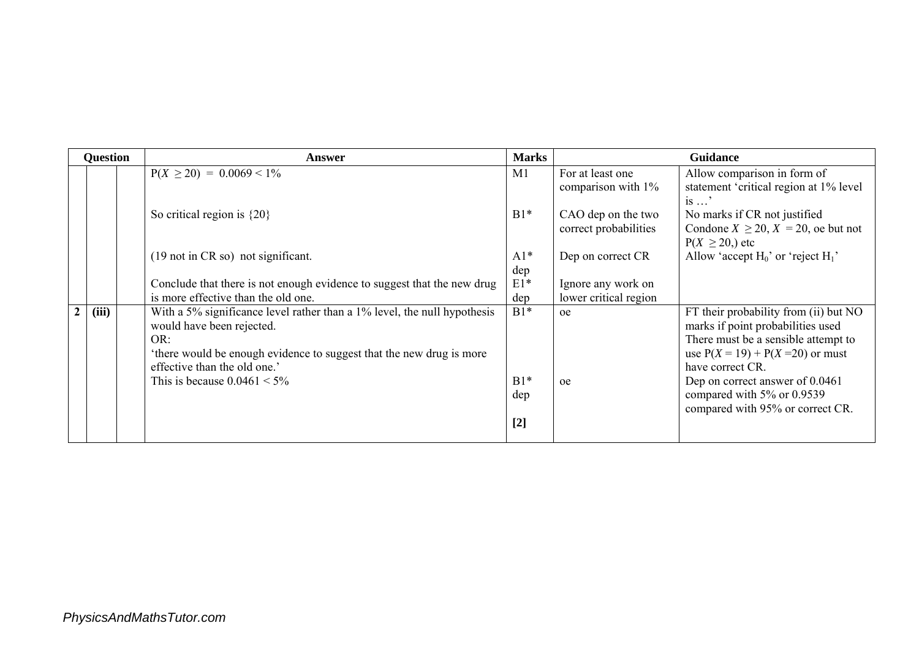| <b>Question</b> |       | Answer                                                                                                                                                                                                               | <b>Marks</b>          | Guidance                                    |                                                                                                                                                                              |  |
|-----------------|-------|----------------------------------------------------------------------------------------------------------------------------------------------------------------------------------------------------------------------|-----------------------|---------------------------------------------|------------------------------------------------------------------------------------------------------------------------------------------------------------------------------|--|
|                 |       | $P(X \ge 20) = 0.0069 < 1\%$                                                                                                                                                                                         | M1                    | For at least one<br>comparison with 1%      | Allow comparison in form of<br>statement 'critical region at 1% level<br>$is \dots$ '                                                                                        |  |
|                 |       | So critical region is $\{20\}$                                                                                                                                                                                       | $B1*$                 | CAO dep on the two<br>correct probabilities | No marks if CR not justified<br>Condone $X \ge 20$ , $X = 20$ , oe but not<br>$P(X \ge 20)$ , etc                                                                            |  |
|                 |       | $(19 \text{ not in CR so})$ not significant.                                                                                                                                                                         | $A1*$<br>dep          | Dep on correct CR                           | Allow 'accept $H_0$ ' or 'reject $H_1$ '                                                                                                                                     |  |
|                 |       | Conclude that there is not enough evidence to suggest that the new drug                                                                                                                                              | $E1*$                 | Ignore any work on                          |                                                                                                                                                                              |  |
|                 |       | is more effective than the old one.                                                                                                                                                                                  | dep                   | lower critical region                       |                                                                                                                                                                              |  |
| $\overline{2}$  | (iii) | With a 5% significance level rather than a 1% level, the null hypothesis<br>would have been rejected.<br>OR:<br>'there would be enough evidence to suggest that the new drug is more<br>effective than the old one.' | $B1*$                 | oe                                          | FT their probability from (ii) but NO<br>marks if point probabilities used<br>There must be a sensible attempt to<br>use $P(X = 19) + P(X = 20)$ or must<br>have correct CR. |  |
|                 |       | This is because $0.0461 < 5\%$                                                                                                                                                                                       | $B1*$<br>dep<br>$[2]$ | oe                                          | Dep on correct answer of 0.0461<br>compared with 5% or 0.9539<br>compared with 95% or correct CR.                                                                            |  |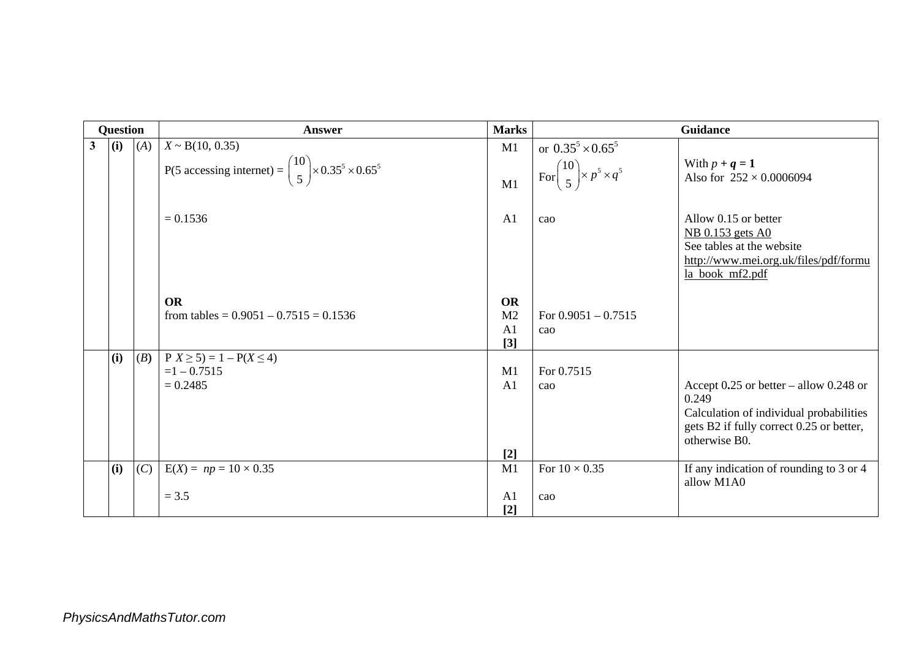|              | Question |     | Answer                                                                                                    | <b>Marks</b>                                           |                                                                     | <b>Guidance</b>                                                                                                                                             |
|--------------|----------|-----|-----------------------------------------------------------------------------------------------------------|--------------------------------------------------------|---------------------------------------------------------------------|-------------------------------------------------------------------------------------------------------------------------------------------------------------|
| $\mathbf{3}$ | (i)      | (A) | $X \sim B(10, 0.35)$<br>P(5 accessing internet) = $\binom{10}{5}$ × 0.35 <sup>5</sup> × 0.65 <sup>5</sup> | M1<br>M1                                               | or $0.35^5 \times 0.65^5$<br>For $\binom{10}{5}$ × $p^5 \times q^5$ | With $p + q = 1$<br>Also for $252 \times 0.0006094$                                                                                                         |
|              |          |     | $= 0.1536$                                                                                                | A <sub>1</sub>                                         | cao                                                                 | Allow 0.15 or better<br>NB 0.153 gets A0<br>See tables at the website<br>http://www.mei.org.uk/files/pdf/formu<br>la book mf2.pdf                           |
|              |          |     | <b>OR</b><br>from tables = $0.9051 - 0.7515 = 0.1536$                                                     | <b>OR</b><br>M <sub>2</sub><br>A <sub>1</sub><br>$[3]$ | For $0.9051 - 0.7515$<br>cao                                        |                                                                                                                                                             |
|              | (i)      | (B) | $P(X \ge 5) = 1 - P(X \le 4)$<br>$=1 - 0.7515$<br>$= 0.2485$                                              | M1<br>A <sub>1</sub><br>$[2]$                          | For 0.7515<br>cao                                                   | Accept $0.25$ or better – allow $0.248$ or<br>0.249<br>Calculation of individual probabilities<br>gets B2 if fully correct 0.25 or better,<br>otherwise B0. |
|              | (i)      | (C) | $E(X) = np = 10 \times 0.35$<br>$= 3.5$                                                                   | M1<br>A <sub>1</sub><br>$[2]$                          | For $10 \times 0.35$<br>cao                                         | If any indication of rounding to 3 or 4<br>allow M1A0                                                                                                       |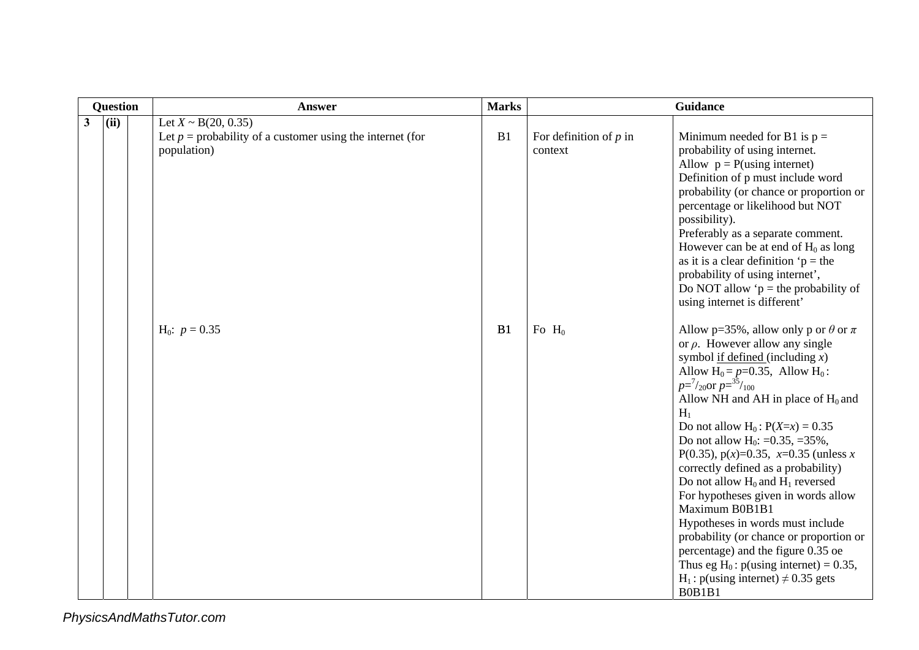|              | <b>Question</b> | Answer                                                                                                 | <b>Marks</b> | Guidance                            |                                                                                                                                                                                                                                                                                                                                                                                                                                                                                                                                                                                                                                                                                                                                                                                                               |  |
|--------------|-----------------|--------------------------------------------------------------------------------------------------------|--------------|-------------------------------------|---------------------------------------------------------------------------------------------------------------------------------------------------------------------------------------------------------------------------------------------------------------------------------------------------------------------------------------------------------------------------------------------------------------------------------------------------------------------------------------------------------------------------------------------------------------------------------------------------------------------------------------------------------------------------------------------------------------------------------------------------------------------------------------------------------------|--|
| $\mathbf{3}$ | (ii)            | Let $X \sim B(20, 0.35)$<br>Let $p =$ probability of a customer using the internet (for<br>population) | B1           | For definition of $p$ in<br>context | Minimum needed for B1 is $p =$<br>probability of using internet.<br>Allow $p = P(using internet)$<br>Definition of p must include word<br>probability (or chance or proportion or<br>percentage or likelihood but NOT<br>possibility).<br>Preferably as a separate comment.<br>However can be at end of $H_0$ as long<br>as it is a clear definition $p =$ the<br>probability of using internet',<br>Do NOT allow ' $p =$ the probability of<br>using internet is different'                                                                                                                                                                                                                                                                                                                                  |  |
|              |                 | $H_0$ : $p = 0.35$                                                                                     | B1           | Fo $H_0$                            | Allow p=35%, allow only p or $\theta$ or $\pi$<br>or $\rho$ . However allow any single<br>symbol <u>if defined</u> (including $x$ )<br>Allow $H_0 = p=0.35$ , Allow $H_0$ :<br>$p = \frac{7}{20}$ or $p = \frac{35}{100}$<br>Allow NH and AH in place of $H_0$ and<br>$H_1$<br>Do not allow H <sub>0</sub> : $P(X=x) = 0.35$<br>Do not allow H <sub>0</sub> : =0.35, =35%,<br>P(0.35), $p(x)=0.35$ , $x=0.35$ (unless x<br>correctly defined as a probability)<br>Do not allow $H_0$ and $H_1$ reversed<br>For hypotheses given in words allow<br>Maximum B0B1B1<br>Hypotheses in words must include<br>probability (or chance or proportion or<br>percentage) and the figure 0.35 oe<br>Thus eg H <sub>0</sub> : $p$ (using internet) = 0.35,<br>$H_1$ : p(using internet) $\neq$ 0.35 gets<br><b>B0B1B1</b> |  |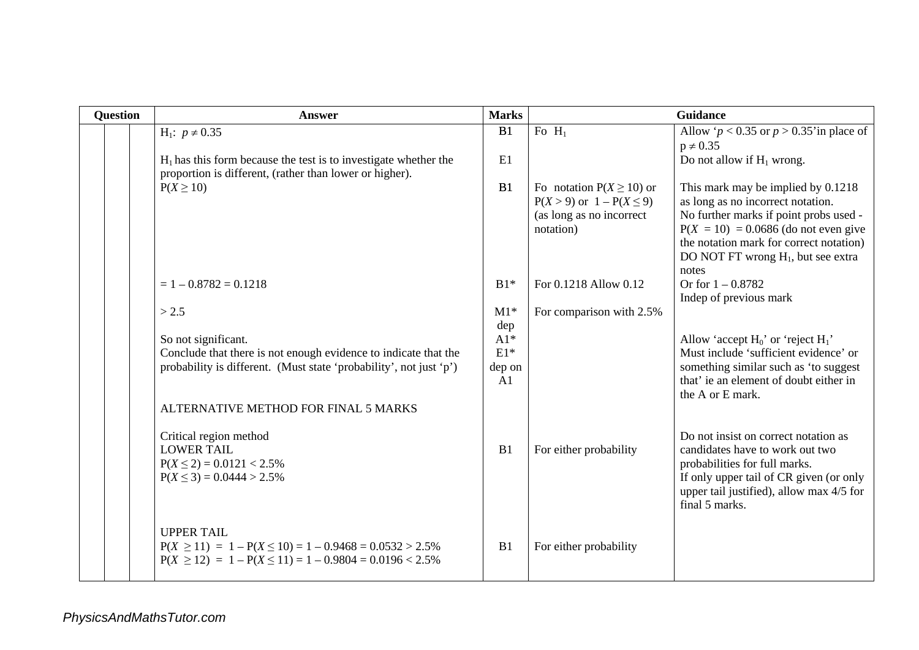| <b>Question</b> | Answer                                                                                                                                                       | <b>Marks</b>                          |                                                                                                         | <b>Guidance</b>                                                                                                                                                                                                   |
|-----------------|--------------------------------------------------------------------------------------------------------------------------------------------------------------|---------------------------------------|---------------------------------------------------------------------------------------------------------|-------------------------------------------------------------------------------------------------------------------------------------------------------------------------------------------------------------------|
|                 | H <sub>1</sub> : $p \neq 0.35$                                                                                                                               | B1                                    | Fo $H_1$                                                                                                | Allow ' $p < 0.35$ or $p > 0.35$ 'in place of                                                                                                                                                                     |
|                 |                                                                                                                                                              |                                       |                                                                                                         | $p \neq 0.35$                                                                                                                                                                                                     |
|                 | $H_1$ has this form because the test is to investigate whether the                                                                                           | E1                                    |                                                                                                         | Do not allow if $H_1$ wrong.                                                                                                                                                                                      |
|                 | proportion is different, (rather than lower or higher).<br>$P(X \geq 10)$                                                                                    | B1                                    | Fo notation $P(X \ge 10)$ or<br>$P(X > 9)$ or $1 - P(X \le 9)$<br>(as long as no incorrect<br>notation) | This mark may be implied by 0.1218<br>as long as no incorrect notation.<br>No further marks if point probs used -<br>$P(X = 10) = 0.0686$ (do not even give<br>the notation mark for correct notation)            |
|                 |                                                                                                                                                              |                                       |                                                                                                         | DO NOT FT wrong H <sub>1</sub> , but see extra                                                                                                                                                                    |
|                 |                                                                                                                                                              |                                       |                                                                                                         | notes                                                                                                                                                                                                             |
|                 | $= 1 - 0.8782 = 0.1218$                                                                                                                                      | $B1*$                                 | For 0.1218 Allow 0.12                                                                                   | Or for $1 - 0.8782$                                                                                                                                                                                               |
|                 |                                                                                                                                                              |                                       |                                                                                                         | Indep of previous mark                                                                                                                                                                                            |
|                 | > 2.5                                                                                                                                                        | $M1*$                                 | For comparison with 2.5%                                                                                |                                                                                                                                                                                                                   |
|                 | So not significant.<br>Conclude that there is not enough evidence to indicate that the<br>probability is different. (Must state 'probability', not just 'p') | dep<br>$A1*$<br>$E1*$<br>dep on<br>A1 |                                                                                                         | Allow 'accept $H_0$ ' or 'reject $H_1$ '<br>Must include 'sufficient evidence' or<br>something similar such as 'to suggest<br>that' ie an element of doubt either in<br>the A or E mark.                          |
|                 | ALTERNATIVE METHOD FOR FINAL 5 MARKS                                                                                                                         |                                       |                                                                                                         |                                                                                                                                                                                                                   |
|                 | Critical region method<br><b>LOWER TAIL</b><br>$P(X \le 2) = 0.0121 < 2.5\%$<br>$P(X \le 3) = 0.0444 > 2.5\%$                                                | B1                                    | For either probability                                                                                  | Do not insist on correct notation as<br>candidates have to work out two<br>probabilities for full marks.<br>If only upper tail of CR given (or only<br>upper tail justified), allow max 4/5 for<br>final 5 marks. |
|                 | <b>UPPER TAIL</b><br>$P(X \ge 11) = 1 - P(X \le 10) = 1 - 0.9468 = 0.0532 > 2.5\%$<br>$P(X \ge 12) = 1 - P(X \le 11) = 1 - 0.9804 = 0.0196 < 2.5\%$          | B1                                    | For either probability                                                                                  |                                                                                                                                                                                                                   |